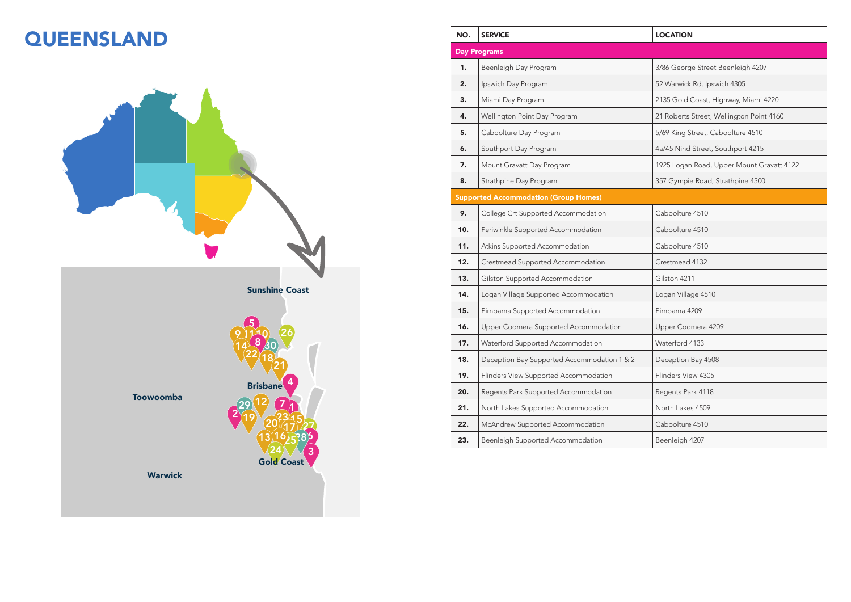## **QUEENSLAND**



| NO. | <b>SERVICE</b>                               | <b>LOCATION</b>                           |
|-----|----------------------------------------------|-------------------------------------------|
|     | <b>Day Programs</b>                          |                                           |
| 1.  | Beenleigh Day Program                        | 3/86 George Street Beenleigh 4207         |
| 2.  | Ipswich Day Program                          | 52 Warwick Rd, Ipswich 4305               |
| 3.  | Miami Day Program                            | 2135 Gold Coast, Highway, Miami 4220      |
| 4.  | Wellington Point Day Program                 | 21 Roberts Street, Wellington Point 4160  |
| 5.  | Caboolture Day Program                       | 5/69 King Street, Caboolture 4510         |
| 6.  | Southport Day Program                        | 4a/45 Nind Street, Southport 4215         |
| 7.  | Mount Gravatt Day Program                    | 1925 Logan Road, Upper Mount Gravatt 4122 |
| 8.  | Strathpine Day Program                       | 357 Gympie Road, Strathpine 4500          |
|     | <b>Supported Accommodation (Group Homes)</b> |                                           |
| 9.  | College Crt Supported Accommodation          | Caboolture 4510                           |
| 10. | Periwinkle Supported Accommodation           | Caboolture 4510                           |
| 11. | Atkins Supported Accommodation               | Caboolture 4510                           |
| 12. | Crestmead Supported Accommodation            | Crestmead 4132                            |
| 13. | Gilston Supported Accommodation              | Gilston 4211                              |
| 14. | Logan Village Supported Accommodation        | Logan Village 4510                        |
| 15. | Pimpama Supported Accommodation              | Pimpama 4209                              |
| 16. | Upper Coomera Supported Accommodation        | Upper Coomera 4209                        |
| 17. | Waterford Supported Accommodation            | Waterford 4133                            |
| 18. | Deception Bay Supported Accommodation 1 & 2  | Deception Bay 4508                        |
| 19. | Flinders View Supported Accommodation        | Flinders View 4305                        |
| 20. | Regents Park Supported Accommodation         | Regents Park 4118                         |
| 21. | North Lakes Supported Accommodation          | North Lakes 4509                          |
| 22. | McAndrew Supported Accommodation             | Caboolture 4510                           |
| 23. | Beenleigh Supported Accommodation            | Beenleigh 4207                            |

| <b>LOCATION</b>                           |
|-------------------------------------------|
|                                           |
| 3/86 George Street Beenleigh 4207         |
| 52 Warwick Rd, Ipswich 4305               |
| 2135 Gold Coast, Highway, Miami 4220      |
| 21 Roberts Street, Wellington Point 4160  |
| 5/69 King Street, Caboolture 4510         |
| 4a/45 Nind Street, Southport 4215         |
| 1925 Logan Road, Upper Mount Gravatt 4122 |
| 357 Gympie Road, Strathpine 4500          |
|                                           |
| Caboolture 4510                           |
| Caboolture 4510                           |
| Caboolture 4510                           |
| Crestmead 4132                            |
| Gilston 4211                              |
| Logan Village 4510                        |
| Pimpama 4209                              |
| Upper Coomera 4209                        |
| Waterford 4133                            |
| Deception Bay 4508                        |
| Flinders View 4305                        |
| Regents Park 4118                         |
| North Lakes 4509                          |
| Caboolture 4510                           |
| Beenleigh 4207                            |
|                                           |